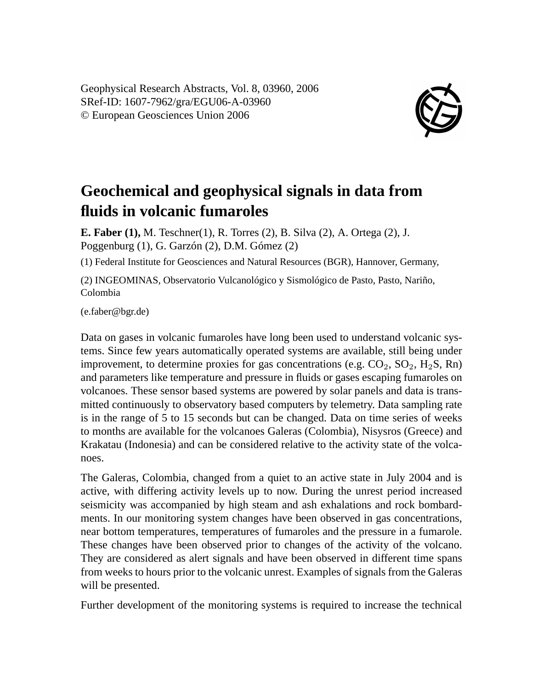Geophysical Research Abstracts, Vol. 8, 03960, 2006 SRef-ID: 1607-7962/gra/EGU06-A-03960 © European Geosciences Union 2006



## **Geochemical and geophysical signals in data from fluids in volcanic fumaroles**

**E. Faber (1),** M. Teschner(1), R. Torres (2), B. Silva (2), A. Ortega (2), J. Poggenburg (1), G. Garzón (2), D.M. Gómez (2)

(1) Federal Institute for Geosciences and Natural Resources (BGR), Hannover, Germany,

(2) INGEOMINAS, Observatorio Vulcanológico y Sismológico de Pasto, Pasto, Nariño, Colombia

(e.faber@bgr.de)

Data on gases in volcanic fumaroles have long been used to understand volcanic systems. Since few years automatically operated systems are available, still being under improvement, to determine proxies for gas concentrations (e.g.  $CO_2$ ,  $SO_2$ ,  $H_2S$ , Rn) and parameters like temperature and pressure in fluids or gases escaping fumaroles on volcanoes. These sensor based systems are powered by solar panels and data is transmitted continuously to observatory based computers by telemetry. Data sampling rate is in the range of 5 to 15 seconds but can be changed. Data on time series of weeks to months are available for the volcanoes Galeras (Colombia), Nisysros (Greece) and Krakatau (Indonesia) and can be considered relative to the activity state of the volcanoes.

The Galeras, Colombia, changed from a quiet to an active state in July 2004 and is active, with differing activity levels up to now. During the unrest period increased seismicity was accompanied by high steam and ash exhalations and rock bombardments. In our monitoring system changes have been observed in gas concentrations, near bottom temperatures, temperatures of fumaroles and the pressure in a fumarole. These changes have been observed prior to changes of the activity of the volcano. They are considered as alert signals and have been observed in different time spans from weeks to hours prior to the volcanic unrest. Examples of signals from the Galeras will be presented.

Further development of the monitoring systems is required to increase the technical